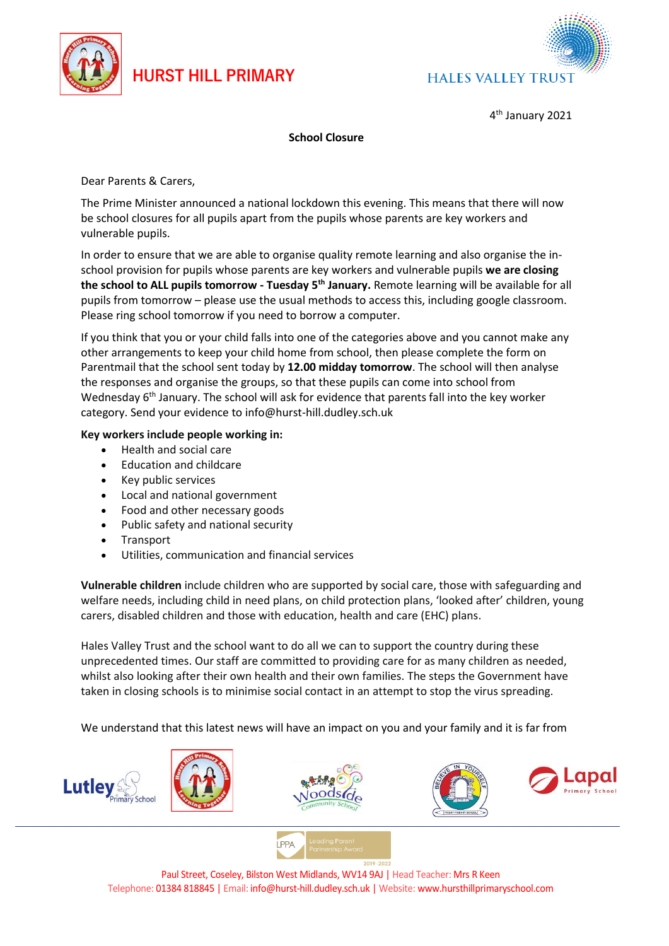

## **HURST HILL PRIMARY**



4 th January 2021

## **School Closure**

Dear Parents & Carers,

The Prime Minister announced a national lockdown this evening. This means that there will now be school closures for all pupils apart from the pupils whose parents are key workers and vulnerable pupils.

In order to ensure that we are able to organise quality remote learning and also organise the inschool provision for pupils whose parents are key workers and vulnerable pupils **we are closing the school to ALL pupils tomorrow - Tuesday 5th January.** Remote learning will be available for all pupils from tomorrow – please use the usual methods to access this, including google classroom. Please ring school tomorrow if you need to borrow a computer.

If you think that you or your child falls into one of the categories above and you cannot make any other arrangements to keep your child home from school, then please complete the form on Parentmail that the school sent today by **12.00 midday tomorrow**. The school will then analyse the responses and organise the groups, so that these pupils can come into school from Wednesday 6<sup>th</sup> January. The school will ask for evidence that parents fall into the key worker category. Send your evidence to info@hurst-hill.dudley.sch.uk

## **Key workers include people working in:**

- Health and social care
- Education and childcare
- Key public services
- Local and national government
- Food and other necessary goods
- Public safety and national security
- **Transport**
- Utilities, communication and financial services

**Vulnerable children** include children who are supported by social care, those with safeguarding and welfare needs, including child in need plans, on child protection plans, 'looked after' children, young carers, disabled children and those with [education, health and care \(EHC\) plans.](https://www.gov.uk/children-with-special-educational-needs/extra-SEN-help)

Hales Valley Trust and the school want to do all we can to support the country during these unprecedented times. Our staff are committed to providing care for as many children as needed, whilst also looking after their own health and their own families. The steps the Government have taken in closing schools is to minimise social contact in an attempt to stop the virus spreading.

We understand that this latest news will have an impact on you and your family and it is far from





Paul Street, Coseley, Bilston West Midlands, WV14 9AJ | Head Teacher: Mrs R Keen Telephone: 01384 818845 | Email: info@hurst-hill.dudley.sch.uk | Website: www.hursthillprimaryschool.com